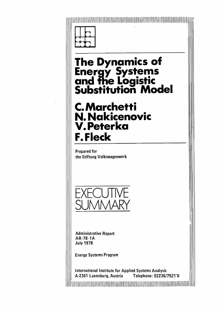

# The Dynamics of<br>Energy Systems<br>and the Logistic<br>Substitution Model

# C. Marchetti N. Nakicenovic<br>V. Peterka F.Fleck

**Prepared for** the Stiftung Volkswagenwerk



**Administrative Report** AR-78-1A **July 1978** 

**Energy Systems Program** 

**International Institute for Applied Systems Analysis** A-2361 Laxenburg, Austria Telephone: 02236/7521'0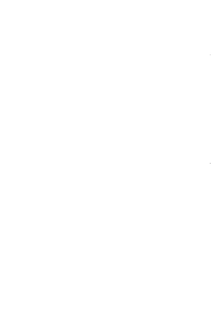$\epsilon$  $\star$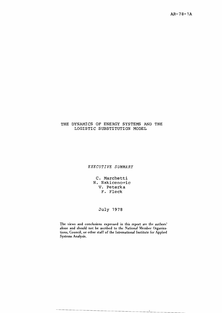### THE DYNAMICS OF ENERGY SYSTEMS AND THE LOGISTIC SUBSTITUTION MODEL

### *EXECUTIVE SUMMARY*

C. Marchetti N. Nakicenovic v. Peterka F. Fleck

### July 1978

The views and conclusions expressed in this report are the authors' alone and should not be ascribed to the National Member Organizations, Council, or other staff of the International Institute for Applied Systems Analysis.

 $\overline{\mathbf{r}}$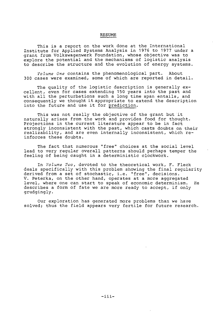### RESUME

This is <sup>a</sup> report on the work done at the International Institute for Applied Systems Analysis in 1976 to 1977 under <sup>a</sup> grant from Volkswagenwerk Foundation, whose objective was to explore the potential and the mechanisms of logistic analysis to describe the structure and the evolution of energy systems.

*VoLume One* contains the phenomenological part. About <sup>300</sup> cases were examined, some of which are reported in detail.

The quality of the logistic description is generally excellent, even for cases extending <sup>150</sup> years into the past and verient, even for cases executing 150 years files the past and<br>with all the perturbations such a long time span entails, and consequently we thought it appropriate to extend the description into the future and use it for prediction.

This was not really the objective of the grant but 'it naturally arises from the work and provides food for thought. Projections in the current literature appear to be in fact strongly inconsistent with the past, which casts doubts on their realizability, and are even internally inconsistent, which reinforces these doubts.

The fact that numerous "free" choices at the social level lead to very regular overall patterns should perhaps temper the feeling of being caught in a deterministic clockwork.

In *VoLume Two,* devoted to the theoretical work, F. Fleck deals specifically with this problem showing the final regularity derived from <sup>a</sup> set of stochastic, i.e. "free", decisions. v. Peterka, on the other hand, operates at <sup>a</sup> more aggregated level, where one can start to speak of economic determinism. He describes <sup>a</sup> form of fate we are more ready to accept, if only grudgingly.

Our exploration has generated more problems than we have solved; thus the field appears very fertile for future research.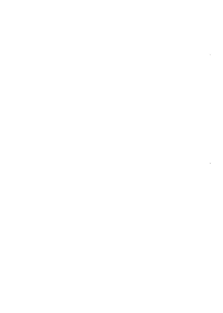$\epsilon$  $\star$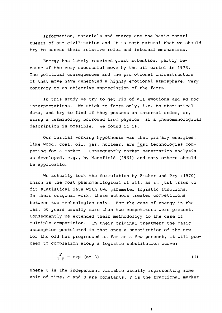Information, materials and energy are the basic constituents of our civilization and it is most natural that we should try to assess their relative roles and internal mechanisms.

Energy has lately received great attention, partly because of the very successful move by the oil cartel in 1973. The political consequences and the promotional infrastructure of that move have generated <sup>a</sup> highly emotional atmosphere, very contrary to an objective appreciation of the facts.

In this study we try to get rid of all emotions and ad hoc interpretations. We stick to facts only, i.e. to statistical data, and try to find if they possess an internal order, or, using <sup>a</sup> terminology borrowed from physics, if <sup>a</sup> phenomenological description is possible. We found it is.

Our initial working hypothesis was that primary energies, like wood, coal, oil, gas, nuclear, are just technologies competing for a market. Consequently market penetration analysis as developed, e.g., by Mansfield (1961) and many others should be applicable.

We actually took the formulation by Fisher and Pry (1970) which is the most phenomenological of all, as it just tries to fit statistical data with two parameter logistic functions. In their original work, these authors treated competitions between two technologies only. For the case of energy in the last <sup>50</sup> years usually more than two competitors were present. Consequently we extended their methodology to the case of mUltiple competition. In their original treatment the basic assumption postulated is that once <sup>a</sup> substitution of the new for the old has progressed as far as <sup>a</sup> few percent, it will proceed to completion along <sup>a</sup> logistic substitution curve:

$$
\frac{F}{1-F} = \exp (\alpha t + \beta) \tag{1}
$$

Ī

where <sup>t</sup> is the independent variable usually representing some unit of time,  $\alpha$  and  $\beta$  are constants, F is the fractional market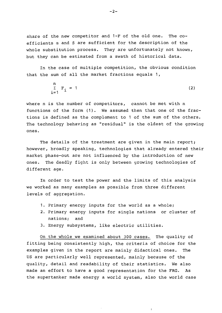share of the new competitor and 1-F of the old one. The coefficients  $\alpha$  and  $\beta$  are sufficient for the description of the whole substitution process. They are unfortunately not known, but they can be estimated from <sup>a</sup> swath of historical data.

In the case of multiple competition, the obvious condition that the sum of all the market fractions equals 1,

$$
\sum_{i=1}^{n} F_i = 1 \tag{2}
$$

where <sup>n</sup> is the number of competitors, cannot be met with <sup>n</sup> functions of the form (1). We assumed then that one of the fractions is defined as the complement to <sup>1</sup> of the sum of the others. The technology behaving as "residual" is the oldest of the growing ones.

The details of the treatment are given in the main report; however, broadly speaking, technologies that already entered their market phase-out are not influenced by the introduction of new ones. The deadly fight is only between growing technologies of different age.

In order to test the power and the limits of this analysis we worked as many examples as possible from three different levels of aggregation.

- 1. Primary energy inputs for the world as a whole;
- 2. Primary energy inputs for single nations or cluster of nations; and
- 3. Energy subsystems, like electric utilities.

On the whole we examined about 300 cases. The quality of fitting being consistently high, the criteria of choice for the examples given in the report are mainly didactical ones. The US are particularly well represented, mainly because of the quality, detail and readability of their statistics. We also made an effort to have <sup>a</sup> good representation for the FRG. As the supertanker made energy a world system, also the world case

 $\overline{1}$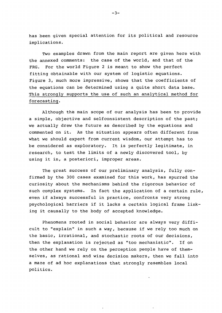has been given special attention for its political and resource implications.

Two examples drawn from the main report are given here with the annexed comments: the case of the world, and that of the FRG. For the world Figure <sup>2</sup> is meant to show the perfect fitting obtainable with our system of logistic equations. Figure 3, much more impressive, shows that the coefficients of the equations can be determined using a quite short data base. This strongly supports the use of such an analytical method for forecasting.

Although the main scope of our analysis has been to provide <sup>a</sup> simple, objective and selfconsistent description of the past; we actually drew the future as described by the equations and commented on it. As the situation appears often different from what we should expect from current wisdom, our attempt has to be considered as exploratory. It is perfectly legitimate, in research, to test the limits of <sup>a</sup> newly discovered tool, by using it in, <sup>a</sup> posteriori, improper areas.

The great success of our preliminary analysis, fully confirmed by the 300 cases examined for this work, has spurred the curiosity about the mechanisms behind the rigorous behavior of such complex systems. In fact the application of <sup>a</sup> certain rule, even if always successful in practice, confronts very strong psychological barriers if it lacks <sup>a</sup> certain logical frame linking it causally to the body of accepted knowledge.

Phenomena rooted in social behavior are always very difficult to "explain" in such <sup>a</sup> way, because if we rely too much on the basic, irrational, and stochastic roots of our decisions, then the explanation is rejected as "too mechanistic". If on the other hand we rely on the perception people have of themselves, as rational and wise decision makers, then we fall into <sup>a</sup> maze of ad hoc explanations that strongly resembles local politics.

 $-3-$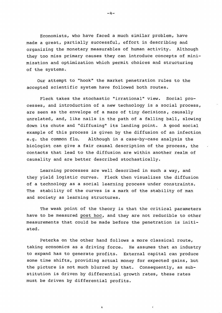Economists, who have faced a much similar problem, have made <sup>a</sup> great, partially successful, effort in describing and organizing the monetary measurables of human activity. Although they too miss primary causes they can introduce concepts of minimization and optimization which permit choices and structuring of the systems.

Our attempt to "hook" the market penetration rules to the accepted scientific system have followed both routes.

Fleck takes the stochastic "irrational" view. Social processes, and introduction of <sup>a</sup> new technology is <sup>a</sup> social process, are seen as the envelope of a maze of tiny decisions, causally unrelated, and, like nails in the path of <sup>a</sup> falling ball, slowing down its chute and "diffusing" its landing point. <sup>A</sup> good social example of this process is given by the diffusion of an infection e.g. the common flu. Although in a case-by-case analysis the biologist can give <sup>a</sup> fair causal description of the process, the contacts that lead to the diffusion are within another realm of causality and are better described stochastically.

they yield logistic curves. Fleck then visualizes the diffusion of a technology as a social learning process under constraints. The stability of the curves is <sup>a</sup> mark of the stability of man and society as learning structures. Learning processes are well described in such a way, and

The weak point of the theory is that the critical parameters have to be measured post hoc, and they are not reducible to other measurements that could be made before the penetration is initiated.

Peterka on the other hand follows <sup>a</sup> more classical route, taking economics as <sup>a</sup> driving force. He assumes that an industry to expand has to generate profits. External capital can produce some time shifts, providing actual money for expected gains, but the picture is not much blurred by that. Consequently, as substitution is driven by differential growth rates, these rates must be driven by differential profits.

 $-4-$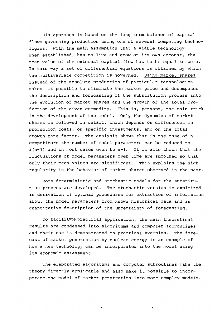His approach is based on the long-term balance of capital flows governing production using one of several competing technologies. With the main assumption that a viable technology, when established, has to live and grow on its own account, the mean value of the external capital flow has to be equal to zero. In this way <sup>a</sup> set of differential equations is obtained by which the multivariate competition is governed. Using market shares instead of the absolute production of particular technologies makes it possible to eliminate the market price and decomposes the description and forecasting of the substitution process into the evolution of market shares and the growth of the total production of the given commodity. This is, perhaps, the main trick in the development of the model. Only the dynamics of market shares is followed in detail, which depends on differences in production costs, on specific investments, and on the total growth rate factor. The analysis shows that in the case of n competitors the number of model parameters can be reduced to 2(n-1) and in most cases even to n-1. It is also shown that the fluctuations of model parameters over time are smoothed so that only their mean values are significant. This explains the high regularity in the behavior of market shares observed in the past.

Both deterministic and stochastic models for the substitution process are developed. The stochastic version is exploited in derivation of optimal procedures for extraction of information about the model parameters from known historical data and in quantitative description of the uncertainty of forecasting.

To facilitate practical application, the main theoretical results are condensed into algorithms and computer subroutines and their use is demonstrated on practical examples. The forecast of market penetration by nuclear energy is an example of how a new technology can be incorporated into the model using its economic assessment.

The elaborated algorithms and computer subroutines make the theory directly applicable and also make it possible to incorporate the model of market penetration into more complex models.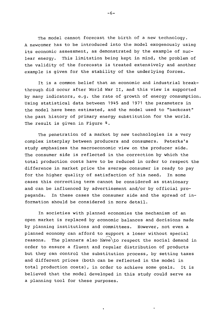The model cannot forecast the birth of a new technology. A newcomer has to be introduced into the model exogenously using its economic assessment, as demonstrated by the example of nuclear energy. This limitation being kept in mind, the problem of the validity of the forecasts is treated extensively and another example is given for the stability of the underlying forces.

It is <sup>a</sup> common belief that an economic and industrial breakthrough did occur after World War II, and this view is supported by many indicators, e.g. the rate of growth of energy consumption. Using statistical data between <sup>1945</sup> and <sup>1971</sup> the parameters in the model have been estimated, and the model used to "backcast" the past history of primary energy substitution for the world. The result is given in Figure 4.

The penetration of <sup>a</sup> market by new technologies is <sup>a</sup> very complex interplay between producers and consumers. Peterka's study emphasizes the macroeconomic view on the producer side. The consumer side is reflected in the correction by which the total production costs have to be reduced in order to respect the difference in market price the average consumer is ready to pay for the higher quality of satisfaction of his need. In some cases this correcting term cannot be considered as stationary and can be influenced by advertisement and/or by official propaganda. In these cases the consumer side and the spread of information should be considered in more detail.

In societies with planned economies the mechanism of an open market is replaced by economic balances and decisions made by planning institutions and committees. However, not even <sup>a</sup> planned economy can afford to support a loser without special reasons. The planners also have to respect the social demand in order to ensure <sup>a</sup> fluent and regular distribution of products but they can control the substitution process, by setting taxes and different prices (both can be reflected in the model in total production costs), in order to achieve some goals. It is believed that the model developed in this study could serve as a planning tool for these purposes.

-6-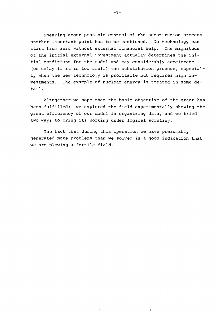Speaking about possible control of the substitution process another important point has to be mentioned. No technology can start from zero without external financial help. The magnitude of the initial external investment actually determines the initial conditions for the model and may considerably accelerate (or delay if it is too small) the substitution process, especially when the new technology is profitable but requires high investments. The example of nuclear energy is treated in some detail.

Altogether we hope that the basic objective of the grant has been fulfilled: we explored the field experimentally showing the great efficiency of our model in organizing data, and we tried two ways to bring its working under logical scrutiny.

The fact that during this operation we have presumably generated more problems than we solved is <sup>a</sup> good indication that we are plowing <sup>a</sup> fertile field.

 $\pmb{\mathfrak{y}}$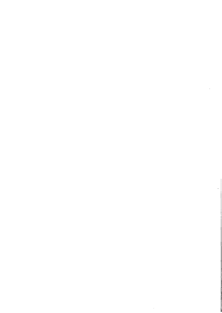$\sim 10^7$  $\hat{\mathbf{r}}$ 

 $\sim$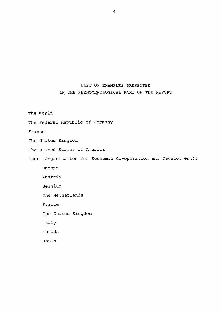## LIST OF EXAMPLES PRESENTED IN THE PHENOMENOLOGICAL PART OF THE REPORT

The World

The Federal Republic of Germany

France

The United Kingdom

The United States of America

OECD (Organization for Economic Co-operation and Development):

 $\bar{t}$ 

Europe

Austria

Belgium

The Netherlands

France

The United Kingdom

Italy

canada

Japan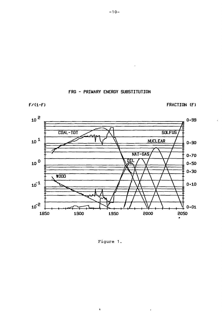

FRACTION (F)

 $\bar{1}$ 

 $F/(1-F)$ 



Figure 1.

 $\mathbf{I}$ 

 $\bar{r}$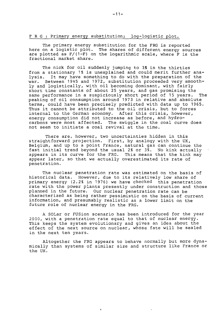F R G : Primary energy substitution; log-logistic plot.

The primary energy substitution for the FRG is reported here on a logistic plot. The shares of different energy sources are plotted as  $F/(1-F)$  on the logarithmic scale, where  $F$  is the fractional market share.

The nick for oil suddenly jumping to 3% in the thirties from <sup>a</sup> stationary 1% is unexplained and could merit further analysis. It may have something to do with the preparation of the war. Between 1945 and 1972, substitution proceeded very smoothly and logistically, with oil becoming dominant, with fairly short time constants of about 25 years, and gas promising the same performance in a suspiciously short period of 15 years. The peaking of oil consumption around 1973 in relative and absolute terms, could have been precisely predicted with data up to 1965. Thus it cannot be attributed to the oil crisis, but to forces internal to the German economy. After this crisis, however, energy consumption did not increase as before, and hydrocarbons were most affected. The swiggle in the coal curve does not seem to initiate <sup>a</sup> coal revival at the time.

There are, however, two uncertainties hidden in this straightforward projection. First, by analogy with the UK, Belgium, and up to a point France, natural gas can continue the fast initial trend beyond the usual 2% or 3%. No kink actually appears in its curve for the FRG. This means that the kink may appear later, so that we actually overestimated its rate of penetration.

The nuclear penetration rate was estimated on the basis of historical data. However, due to its relatively low share of primary energy (2.2% in 1976) we have checked this penetration rate with the power plants presently under construction and those planned in the future. Our nuclear penetration rate can be characterized as being rather pessimistic on the basis of current information, and presumably realistic as <sup>a</sup> lower limit on the future role of nuclear energy in the FRG.

A SOLar or FUSion scenario has been introduced for the year 2000, with a penetration rate equal to that of nuclear energy. This keeps the system evolutionary and gives an idea about the effect of the next source on nuclear, whose fate will be sealed in the next ten years.

Altogether the FRG appears to behave normally but more dynamically than systems of similar size and structure like France or the UK.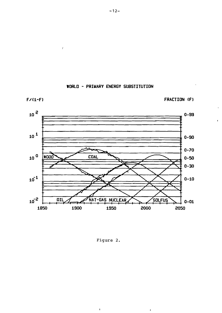

WORLD - PRIMARY ENERGY SUBSTITUTION

 $F/(1-F)$ 

 $\overline{1}$ 

FRACTION (F)

 $\mathbf{r}$ 

Figure 2.

 $\bar{\textbf{I}}$ 

 $\mathbf{r}$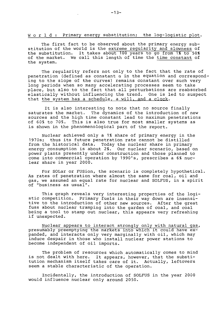W o r 1 d : Primary energy substitution; the log-logistic plot.

The first fact to be observed about the primary energy substitution of the world is the extreme regularity and slowness of the substitution. It takes about <sup>100</sup> years to go from 1% to 50% of the market. We call this length of time the time constant of the system.

The regularity refers not only to the fact that the rate of penetration (defined as constant  $\alpha$  in the equation and corresponding to the slope of the curves) remains constant over such very long periods when so many accelerating processes seem to take place, but also to the fact that all perturbations are reabsorbed elastically without influencing the trend. One is led to suspect that the system has a schedule, a will, and a clock.

It is also interesting to note that no source finally saturates the market. The dynamics of the introduction of new sources and the high time constant lead to maximum penetrations of 60% to 70%. This is also true for most smaller systems as is shown in the phenomenological part of the report.

Nuclear achieved only a 1% share of primary energy in the<br>1970s: thus its future penetration rate cannot be distilled thus its future penetration rate cannot be distilled from the historical data. Today the nuclear share in primary energy consumption is about 2%. Our nuclear scenario, based on power plants presently under construction and those planned to come into commercial operation by 1990's, prescribes a 6% nuclear share in year 2000.

For SOLar or FUSion, the scenario is completely hypothetical. As rates of penetration where almost the same for coal, oil and gas, we assumed an equal rate for nuclear and SOLFUS, in <sup>a</sup> spirit of "business as usual".

This graph reveals very interesting properties of the logistic competition. Primary fuels in their way down are insensitive to the introduction of other new sources. After the great fuss about nuclear tramping into the garden of coal, and coal being a tool to stamp out nuclear, this appears very refreshing if unexpected.

Nuclear appears to interact strongly only with natural gas, presumably preemptying the markets into which it could have expanded, and interacts only very marginally with oil, which may induce despair in those who install nuclear power stations to become independent of oil imports.

The problem of resources which automatically comes to mind is not dealt with here. It appears, however, that the substitution mechanism itself takes care of it. Actually, leftovers seem <sup>a</sup> stable characteristic of the operation.

Incidentally, the introduction of SOLFUS in the year 2000 would influence nuclear only around 2050.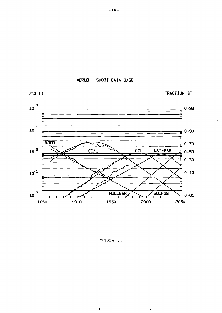

WORLD - SHORT DATA BASE

 $F/(1-F)$ 

FRACTION (F)

Ŷ.

Figure 3.

 $\mathbf{I}$ 

 $\bar{\pmb{r}}$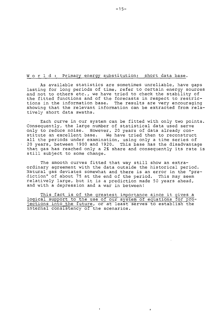# W o r l d : Primary energy substitution; short data base.

As available statistics are sometimes unreliable, have gaps lasting for long periods of time, refer to certain energy sources and not to others etc., we have tried to check the stability of the fitted functions and of the forecasts in respect to restrictions in the information base. The results are very encouraging showing that the relevant information can be extracted from relatively short data swaths.

Each curve in our system can be fitted with only two points. Consequently, the large number of statistical data used serve only to reduce noise. However, 20 years of data already constitute an excellent base. We have tried then to reconstruct all the periods under examination, using only <sup>a</sup> time series of 20 years, between 1900 and 1920. This base has the disadvantage that gas has reached only <sup>a</sup> 2% share and consequently its rate is still subject to some change.

The smooth curves fitted that way still show an extraordinary agreement with the data outside the historical period. Natural gas deviates somewhat and there is an error in the "prediction" of about 7% at the end of the period. This may seem relatively large, but it is <sup>a</sup> prediction made <sup>50</sup> years ahead, and with a depression and a war in between!

This fact is of the greatest importance since it qives <sup>a</sup> logical support to the use of our system of equations for projections into the future, or at least serves to establish the internal consistency of the scenarios.

 $\mathbf{I}$ 

Ÿ.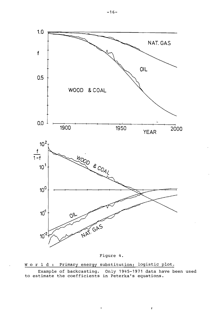

Figure 4.

W o r l d : Primary energy substitution; logistic plot.

ł.

Example of backcasting. Only 1945-1971 data have been used to estimate the coefficients in Peterka's equations.

 $\pmb{r}$